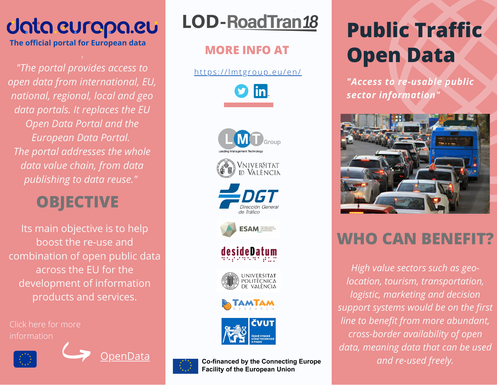# Uata curopa.cu

**The official portal for European data**

*"The portal provides access to open data from international, EU, national, regional, local and geo data portals. It replaces the EU Open Data Portal and the European Data Portal. The portal addresses the whole data value chain, from data publishing to data reuse."*

### **OBJECTIVE**

Its main objective is to help boost the re-use and combination of open public data across the EU for the development of information products and services.

Click here for more information







### **LOD-RoadTran18**

#### **MORE INFO AT**

https[://l](https://lmtgroup.eu/portfolio/lod-roadtran18-es/)mtgroup.eu/en/





# **Public Traffic Open Data**

*"Access to re-usable public sector information"*



### **WHO CAN BENEFIT?**

*High value sectors such as geolocation, tourism, transportation, logistic, marketing and decision support systems would be on the first line to benefit from more abundant, cross-border availability of open data, meaning data that can be used*



**OenData and re-used freely.**<br> **and re-used freely.**<br> **and re-used freely.**<br> **and re-used freely.**